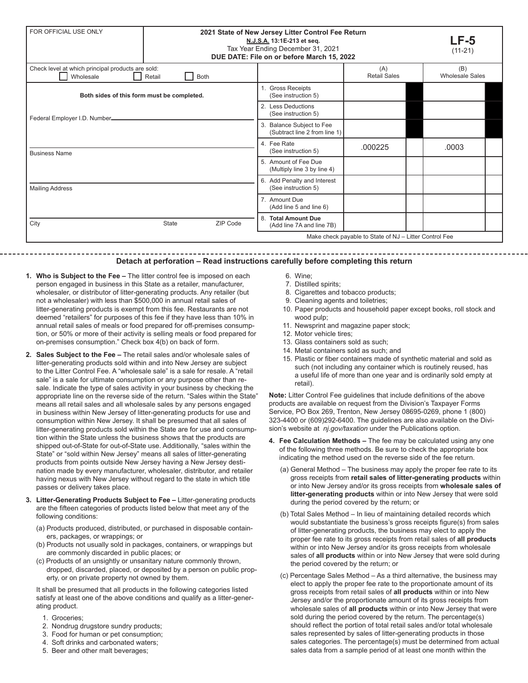| FOR OFFICIAL USE ONLY                                                                   | 2021 State of New Jersey Litter Control Fee Return | $LF-5$<br>$(11-21)$                                |                                                            |                                                        |  |                               |  |
|-----------------------------------------------------------------------------------------|----------------------------------------------------|----------------------------------------------------|------------------------------------------------------------|--------------------------------------------------------|--|-------------------------------|--|
| Check level at which principal products are sold:<br>Wholesale<br>Retail<br><b>Both</b> |                                                    |                                                    |                                                            | (A)<br><b>Retail Sales</b>                             |  | (B)<br><b>Wholesale Sales</b> |  |
| Both sides of this form must be completed.                                              |                                                    |                                                    | 1. Gross Receipts<br>(See instruction 5)                   |                                                        |  |                               |  |
| Federal Employer I.D. Number_                                                           |                                                    | 2. Less Deductions<br>(See instruction 5)          |                                                            |                                                        |  |                               |  |
|                                                                                         |                                                    |                                                    | 3. Balance Subject to Fee<br>(Subtract line 2 from line 1) |                                                        |  |                               |  |
| <b>Business Name</b>                                                                    |                                                    |                                                    | 4. Fee Rate<br>(See instruction 5)                         | .000225                                                |  | .0003                         |  |
|                                                                                         |                                                    |                                                    | 5. Amount of Fee Due<br>(Multiply line 3 by line 4)        |                                                        |  |                               |  |
| <b>Mailing Address</b>                                                                  |                                                    | 6. Add Penalty and Interest<br>(See instruction 5) |                                                            |                                                        |  |                               |  |
|                                                                                         |                                                    | 7. Amount Due<br>(Add line 5 and line 6)           |                                                            |                                                        |  |                               |  |
| City                                                                                    | <b>State</b>                                       | ZIP Code                                           | 8. Total Amount Due<br>(Add line 7A and line 7B)           |                                                        |  |                               |  |
|                                                                                         |                                                    |                                                    |                                                            | Make check payable to State of NJ - Litter Control Fee |  |                               |  |

## **Detach at perforation – Read instructions carefully before completing this return**

- **1. Who is Subject to the Fee** The litter control fee is imposed on each person engaged in business in this State as a retailer, manufacturer, wholesaler, or distributor of litter-generating products. Any retailer (but not a wholesaler) with less than \$500,000 in annual retail sales of litter-generating products is exempt from this fee. Restaurants are not deemed "retailers" for purposes of this fee if they have less than 10% in annual retail sales of meals or food prepared for off-premises consumption, or 50% or more of their activity is selling meals or food prepared for on-premises consumption." Check box 4(b) on back of form.
- **2. Sales Subject to the Fee –** The retail sales and/or wholesale sales of litter-generating products sold within and into New Jersey are subject to the Litter Control Fee. A "wholesale sale" is a sale for resale. A "retail sale" is a sale for ultimate consumption or any purpose other than resale. Indicate the type of sales activity in your business by checking the appropriate line on the reverse side of the return. "Sales within the State" means all retail sales and all wholesale sales by any persons engaged in business within New Jersey of litter-generating products for use and consumption within New Jersey. It shall be presumed that all sales of litter-generating products sold within the State are for use and consumption within the State unless the business shows that the products are shipped out-of-State for out-of-State use. Additionally, "sales within the State" or "sold within New Jersey" means all sales of litter-generating products from points outside New Jersey having a New Jersey destination made by every manufacturer, wholesaler, distributor, and retailer having nexus with New Jersey without regard to the state in which title passes or delivery takes place.
- **3. Litter-Generating Products Subject to Fee** Litter-generating products are the fifteen categories of products listed below that meet any of the following conditions:
	- (a) Products produced, distributed, or purchased in disposable containers, packages, or wrappings; or
	- (b) Products not usually sold in packages, containers, or wrappings but are commonly discarded in public places; or
	- (c) Products of an unsightly or unsanitary nature commonly thrown, dropped, discarded, placed, or deposited by a person on public property, or on private property not owned by them.

It shall be presumed that all products in the following categories listed satisfy at least one of the above conditions and qualify as a litter-generating product.

- 1. Groceries;
- 2. Nondrug drugstore sundry products;
- 3. Food for human or pet consumption;
- 4. Soft drinks and carbonated waters;
- 5. Beer and other malt beverages;
- 6. Wine;
- 7. Distilled spirits;
- 8. Cigarettes and tobacco products;
- 9. Cleaning agents and toiletries;
- 10. Paper products and household paper except books, roll stock and wood pulp;
- 11. Newsprint and magazine paper stock;
- 12. Motor vehicle tires;
- 13. Glass containers sold as such;
- 14. Metal containers sold as such; and
- 15. Plastic or fiber containers made of synthetic material and sold as such (not including any container which is routinely reused, has a useful life of more than one year and is ordinarily sold empty at retail).

**Note:** Litter Control Fee guidelines that include definitions of the above products are available on request from the Division's Taxpayer Forms Service, PO Box 269, Trenton, New Jersey 08695-0269, phone 1 (800) 323-4400 or (609)292-6400. The guidelines are also available on the Division's website at *nj.gov/taxation* under the Publications option.

- **4. Fee Calculation Methods** The fee may be calculated using any one of the following three methods. Be sure to check the appropriate box indicating the method used on the reverse side of the fee return.
	- (a) General Method The business may apply the proper fee rate to its gross receipts from **retail sales of litter-generating products** within or into New Jersey and/or its gross receipts from **wholesale sales of litter-generating products** within or into New Jersey that were sold during the period covered by the return; or
	- (b) Total Sales Method In lieu of maintaining detailed records which would substantiate the business's gross receipts figure(s) from sales of litter-generating products, the business may elect to apply the proper fee rate to its gross receipts from retail sales of **all products** within or into New Jersey and/or its gross receipts from wholesale sales of **all products** within or into New Jersey that were sold during the period covered by the return; or
	- (c) Percentage Sales Method As a third alternative, the business may elect to apply the proper fee rate to the proportionate amount of its gross receipts from retail sales of **all products** within or into New Jersey and/or the proportionate amount of its gross receipts from wholesale sales of **all products** within or into New Jersey that were sold during the period covered by the return. The percentage(s) should reflect the portion of total retail sales and/or total wholesale sales represented by sales of litter-generating products in those sales categories. The percentage(s) must be determined from actual sales data from a sample period of at least one month within the